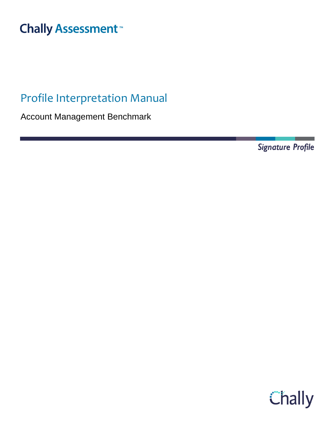# **Chally Assessment**<sup>™</sup>

## Profile Interpretation Manual

Account Management Benchmark

Signature Profile

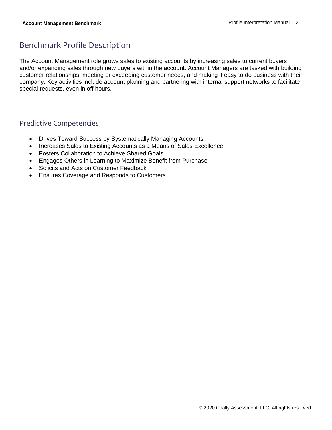### Benchmark Profile Description

The Account Management role grows sales to existing accounts by increasing sales to current buyers and/or expanding sales through new buyers within the account. Account Managers are tasked with building customer relationships, meeting or exceeding customer needs, and making it easy to do business with their company. Key activities include account planning and partnering with internal support networks to facilitate special requests, even in off hours.

#### Predictive Competencies

- Drives Toward Success by Systematically Managing Accounts
- Increases Sales to Existing Accounts as a Means of Sales Excellence
- Fosters Collaboration to Achieve Shared Goals
- Engages Others in Learning to Maximize Benefit from Purchase
- Solicits and Acts on Customer Feedback
- Ensures Coverage and Responds to Customers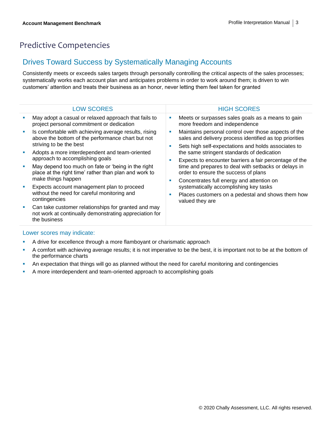### Predictive Competencies

#### Drives Toward Success by Systematically Managing Accounts

Consistently meets or exceeds sales targets through personally controlling the critical aspects of the sales processes; systematically works each account plan and anticipates problems in order to work around them; is driven to win customers' attention and treats their business as an honor, never letting them feel taken for granted

| <b>LOW SCORES</b>                                                                                                                     | <b>HIGH SCORES</b>                                                                                                                                                     |
|---------------------------------------------------------------------------------------------------------------------------------------|------------------------------------------------------------------------------------------------------------------------------------------------------------------------|
| May adopt a casual or relaxed approach that fails to<br>project personal commitment or dedication                                     | Meets or surpasses sales goals as a means to gain<br>more freedom and independence                                                                                     |
| Is comfortable with achieving average results, rising<br>above the bottom of the performance chart but not<br>striving to be the best | Maintains personal control over those aspects of the<br>sales and delivery process identified as top priorities<br>Sets high self-expectations and holds associates to |
| Adopts a more interdependent and team-oriented<br>approach to accomplishing goals                                                     | the same stringent standards of dedication<br>Expects to encounter barriers a fair percentage of the                                                                   |
| May depend too much on fate or 'being in the right<br>place at the right time' rather than plan and work to<br>make things happen     | time and prepares to deal with setbacks or delays in<br>order to ensure the success of plans<br>Concentrates full energy and attention on                              |
| Expects account management plan to proceed<br>without the need for careful monitoring and<br>contingencies                            | systematically accomplishing key tasks<br>Places customers on a pedestal and shows them how<br>valued they are                                                         |
| Can take customer relationships for granted and may<br>not work at continually demonstrating appreciation for<br>the business         |                                                                                                                                                                        |

- **EXEC** A drive for excellence through a more flamboyant or charismatic approach
- A comfort with achieving average results; it is not imperative to be the best, it is important not to be at the bottom of the performance charts
- **An expectation that things will go as planned without the need for careful monitoring and contingencies**
- A more interdependent and team-oriented approach to accomplishing goals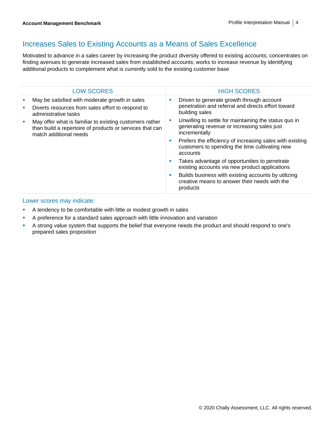#### Increases Sales to Existing Accounts as a Means of Sales Excellence

Motivated to advance in a sales career by increasing the product diversity offered to existing accounts; concentrates on finding avenues to generate increased sales from established accounts; works to increase revenue by identifying additional products to complement what is currently sold to the existing customer base

| <b>LOW SCORES</b>                                                                                                                             | <b>HIGH SCORES</b>                                                                                                          |
|-----------------------------------------------------------------------------------------------------------------------------------------------|-----------------------------------------------------------------------------------------------------------------------------|
| May be satisfied with moderate growth in sales<br>Diverts resources from sales effort to respond to<br>administrative tasks                   | Driven to generate growth through account<br>a.<br>penetration and referral and directs effort toward<br>building sales     |
| May offer what is familiar to existing customers rather<br>than build a repertoire of products or services that can<br>match additional needs | Unwilling to settle for maintaining the status quo in<br>generating revenue or increasing sales just<br>incrementally       |
|                                                                                                                                               | Prefers the efficiency of increasing sales with existing<br>ш<br>customers to spending the time cultivating new<br>accounts |
|                                                                                                                                               | Takes advantage of opportunities to penetrate<br>ш<br>existing accounts via new product applications                        |
|                                                                                                                                               | Builds business with existing accounts by utilizing<br>ш<br>creative means to answer their needs with the<br>products       |

- **EXECUTE:** A tendency to be comfortable with little or modest growth in sales
- A preference for a standard sales approach with little innovation and variation
- A strong value system that supports the belief that everyone needs the product and should respond to one's prepared sales proposition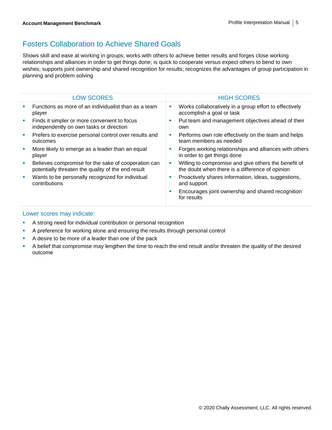### Fosters Collaboration to Achieve Shared Goals

Shows skill and ease at working in groups; works with others to achieve better results and forges close working relationships and alliances in order to get things done; is quick to cooperate versus expect others to bend to own wishes; supports joint ownership and shared recognition for results; recognizes the advantages of group participation in planning and problem solving

| <b>LOW SCORES</b>                                                                                         |    | <b>HIGH SCORES</b>                                                                                      |
|-----------------------------------------------------------------------------------------------------------|----|---------------------------------------------------------------------------------------------------------|
| Functions as more of an individualist than as a team<br>player                                            | ш  | Works collaboratively in a group effort to effectively<br>accomplish a goal or task                     |
| Finds it simpler or more convenient to focus<br>independently on own tasks or direction                   | ш  | Put team and management objectives ahead of their<br>own                                                |
| Prefers to exercise personal control over results and<br>outcomes                                         | ш  | Performs own role effectively on the team and helps<br>team members as needed                           |
| More likely to emerge as a leader than an equal<br>player                                                 | ш  | Forges working relationships and alliances with others<br>in order to get things done                   |
| Believes compromise for the sake of cooperation can<br>potentially threaten the quality of the end result | ш  | Willing to compromise and give others the benefit of<br>the doubt when there is a difference of opinion |
| Wants to be personally recognized for individual<br>contributions                                         | ш  | Proactively shares information, ideas, suggestions,<br>and support                                      |
|                                                                                                           | u, | Encourages joint ownership and shared recognition<br>for results                                        |

- **EXECT** A strong need for individual contribution or personal recognition
- **•** A preference for working alone and ensuring the results through personal control
- A desire to be more of a leader than one of the pack
- A belief that compromise may lengthen the time to reach the end result and/or threaten the quality of the desired outcome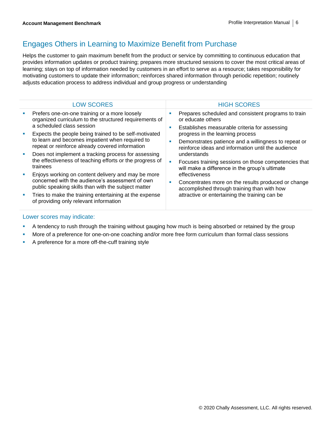### Engages Others in Learning to Maximize Benefit from Purchase

Helps the customer to gain maximum benefit from the product or service by committing to continuous education that provides information updates or product training; prepares more structured sessions to cover the most critical areas of learning; stays on top of information needed by customers in an effort to serve as a resource; takes responsibility for motivating customers to update their information; reinforces shared information through periodic repetition; routinely adjusts education process to address individual and group progress or understanding

| <b>LOW SCORES</b>                                                                                                                                                                                                      |   | <b>HIGH SCORES</b>                                                                                                                                                    |
|------------------------------------------------------------------------------------------------------------------------------------------------------------------------------------------------------------------------|---|-----------------------------------------------------------------------------------------------------------------------------------------------------------------------|
| Prefers one-on-one training or a more loosely<br>organized curriculum to the structured requirements of<br>a scheduled class session                                                                                   | ш | Prepares scheduled and consistent programs to train<br>or educate others<br>Establishes measurable criteria for assessing                                             |
| Expects the people being trained to be self-motivated<br>to learn and becomes impatient when required to<br>repeat or reinforce already covered information                                                            | ٠ | progress in the learning process<br>Demonstrates patience and a willingness to repeat or<br>reinforce ideas and information until the audience                        |
| Does not implement a tracking process for assessing<br>the effectiveness of teaching efforts or the progress of<br>trainees                                                                                            | × | understands<br>Focuses training sessions on those competencies that<br>will make a difference in the group's ultimate                                                 |
| Enjoys working on content delivery and may be more<br>concerned with the audience's assessment of own<br>public speaking skills than with the subject matter<br>Tries to make the training entertaining at the expense | п | effectiveness<br>Concentrates more on the results produced or change<br>accomplished through training than with how<br>attractive or entertaining the training can be |
| of providing only relevant information                                                                                                                                                                                 |   |                                                                                                                                                                       |
|                                                                                                                                                                                                                        |   |                                                                                                                                                                       |

- **•** A tendency to rush through the training without gauging how much is being absorbed or retained by the group
- **■** More of a preference for one-on-one coaching and/or more free form curriculum than formal class sessions
- A preference for a more off-the-cuff training style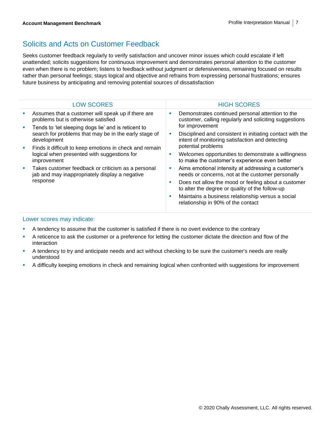### Solicits and Acts on Customer Feedback

Seeks customer feedback regularly to verify satisfaction and uncover minor issues which could escalate if left unattended; solicits suggestions for continuous improvement and demonstrates personal attention to the customer even when there is no problem; listens to feedback without judgment or defensiveness, remaining focused on results rather than personal feelings; stays logical and objective and refrains from expressing personal frustrations; ensures future business by anticipating and removing potential sources of dissatisfaction

|  | <b>LOW SCORES</b>                                                                                                                                                                                                                                    | <b>HIGH SCORES</b>                                                                                           |  |  |
|--|------------------------------------------------------------------------------------------------------------------------------------------------------------------------------------------------------------------------------------------------------|--------------------------------------------------------------------------------------------------------------|--|--|
|  | Assumes that a customer will speak up if there are<br>problems but is otherwise satisfied                                                                                                                                                            | Demonstrates continued personal attention to the<br>customer, calling regularly and soliciting suggestions   |  |  |
|  | Tends to 'let sleeping dogs lie' and is reticent to<br>search for problems that may be in the early stage of<br>development<br>Finds it difficult to keep emotions in check and remain<br>logical when presented with suggestions for<br>improvement | for improvement                                                                                              |  |  |
|  |                                                                                                                                                                                                                                                      | Disciplined and consistent in initiating contact with the<br>intent of monitoring satisfaction and detecting |  |  |
|  |                                                                                                                                                                                                                                                      | potential problems                                                                                           |  |  |
|  |                                                                                                                                                                                                                                                      | Welcomes opportunities to demonstrate a willingness<br>to make the customer's experience even better         |  |  |
|  | Takes customer feedback or criticism as a personal<br>jab and may inappropriately display a negative<br>response                                                                                                                                     | Aims emotional intensity at addressing a customer's<br>needs or concerns, not at the customer personally     |  |  |
|  |                                                                                                                                                                                                                                                      | Does not allow the mood or feeling about a customer<br>to alter the degree or quality of the follow-up       |  |  |
|  |                                                                                                                                                                                                                                                      | Maintains a business relationship versus a social<br>relationship in 90% of the contact                      |  |  |
|  |                                                                                                                                                                                                                                                      |                                                                                                              |  |  |

- **EXECUTE:** A tendency to assume that the customer is satisfied if there is no overt evidence to the contrary
- A reticence to ask the customer or a preference for letting the customer dictate the direction and flow of the interaction
- A tendency to try and anticipate needs and act without checking to be sure the customer's needs are really understood
- A difficulty keeping emotions in check and remaining logical when confronted with suggestions for improvement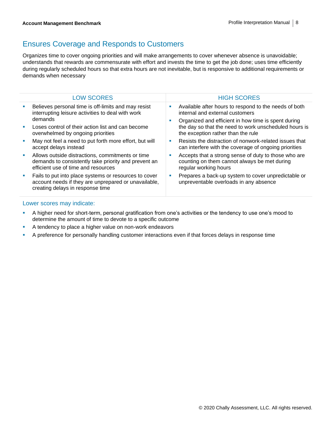### Ensures Coverage and Responds to Customers

Organizes time to cover ongoing priorities and will make arrangements to cover whenever absence is unavoidable; understands that rewards are commensurate with effort and invests the time to get the job done; uses time efficiently during regularly scheduled hours so that extra hours are not inevitable, but is responsive to additional requirements or demands when necessary

| <b>LOW SCORES</b>                                                                                                                                 |    | <b>HIGH SCORES</b>                                                                                                            |
|---------------------------------------------------------------------------------------------------------------------------------------------------|----|-------------------------------------------------------------------------------------------------------------------------------|
| Believes personal time is off-limits and may resist<br>interrupting leisure activities to deal with work                                          | ш  | Available after hours to respond to the needs of both<br>internal and external customers                                      |
| demands                                                                                                                                           |    | Organized and efficient in how time is spent during                                                                           |
| Loses control of their action list and can become<br>overwhelmed by ongoing priorities                                                            |    | the day so that the need to work unscheduled hours is<br>the exception rather than the rule                                   |
| May not feel a need to put forth more effort, but will<br>accept delays instead                                                                   | ٠  | Resists the distraction of nonwork-related issues that<br>can interfere with the coverage of ongoing priorities               |
| Allows outside distractions, commitments or time<br>demands to consistently take priority and prevent an<br>efficient use of time and resources   | M. | Accepts that a strong sense of duty to those who are<br>counting on them cannot always be met during<br>regular working hours |
| Fails to put into place systems or resources to cover<br>account needs if they are unprepared or unavailable,<br>creating delays in response time |    | Prepares a back-up system to cover unpredictable or<br>unpreventable overloads in any absence                                 |

- **•** A higher need for short-term, personal gratification from one's activities or the tendency to use one's mood to determine the amount of time to devote to a specific outcome
- A tendency to place a higher value on non-work endeavors
- **•** A preference for personally handling customer interactions even if that forces delays in response time